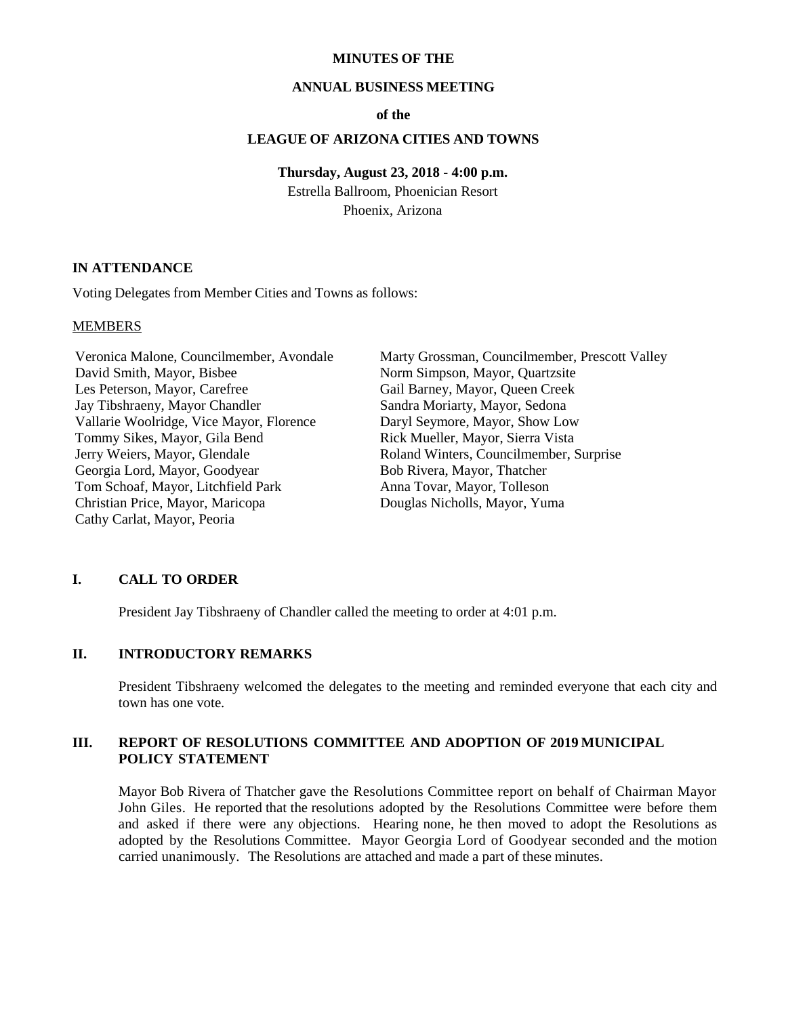#### **MINUTES OF THE**

#### **ANNUAL BUSINESS MEETING**

#### **of the**

#### **LEAGUE OF ARIZONA CITIES AND TOWNS**

#### **Thursday, August 23, 2018 - 4:00 p.m.**

Estrella Ballroom, Phoenician Resort Phoenix, Arizona

## **IN ATTENDANCE**

Voting Delegates from Member Cities and Towns as follows:

#### MEMBERS

Veronica Malone, Councilmember, Avondale David Smith, Mayor, Bisbee Les Peterson, Mayor, Carefree Jay Tibshraeny, Mayor Chandler Vallarie Woolridge, Vice Mayor, Florence Tommy Sikes, Mayor, Gila Bend Jerry Weiers, Mayor, Glendale Georgia Lord, Mayor, Goodyear Tom Schoaf, Mayor, Litchfield Park Christian Price, Mayor, Maricopa Cathy Carlat, Mayor, Peoria

Marty Grossman, Councilmember, Prescott Valley Norm Simpson, Mayor, Quartzsite Gail Barney, Mayor, Queen Creek Sandra Moriarty, Mayor, Sedona Daryl Seymore, Mayor, Show Low Rick Mueller, Mayor, Sierra Vista Roland Winters, Councilmember, Surprise Bob Rivera, Mayor, Thatcher Anna Tovar, Mayor, Tolleson Douglas Nicholls, Mayor, Yuma

## **I. CALL TO ORDER**

President Jay Tibshraeny of Chandler called the meeting to order at 4:01 p.m.

#### **II. INTRODUCTORY REMARKS**

President Tibshraeny welcomed the delegates to the meeting and reminded everyone that each city and town has one vote.

## **III. REPORT OF RESOLUTIONS COMMITTEE AND ADOPTION OF 2019 MUNICIPAL POLICY STATEMENT**

Mayor Bob Rivera of Thatcher gave the Resolutions Committee report on behalf of Chairman Mayor John Giles. He reported that the resolutions adopted by the Resolutions Committee were before them and asked if there were any objections. Hearing none, he then moved to adopt the Resolutions as adopted by the Resolutions Committee. Mayor Georgia Lord of Goodyear seconded and the motion carried unanimously. The Resolutions are attached and made a part of these minutes.